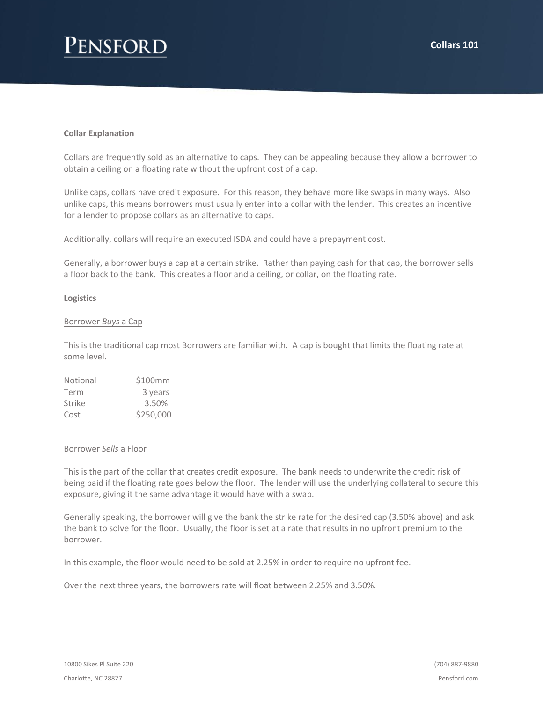# **ENSFORD**

## **Collar Explanation**

Collars are frequently sold as an alternative to caps. They can be appealing because they allow a borrower to obtain a ceiling on a floating rate without the upfront cost of a cap.

Unlike caps, collars have credit exposure. For this reason, they behave more like swaps in many ways. Also unlike caps, this means borrowers must usually enter into a collar with the lender. This creates an incentive for a lender to propose collars as an alternative to caps.

Additionally, collars will require an executed ISDA and could have a prepayment cost.

Generally, a borrower buys a cap at a certain strike. Rather than paying cash for that cap, the borrower sells a floor back to the bank. This creates a floor and a ceiling, or collar, on the floating rate.

### **Logistics**

### Borrower *Buys* a Cap

This is the traditional cap most Borrowers are familiar with. A cap is bought that limits the floating rate at some level.

| Notional | \$100mm   |
|----------|-----------|
| Term     | 3 years   |
| Strike   | 3.50%     |
| Cost     | \$250,000 |

### Borrower *Sells* a Floor

This is the part of the collar that creates credit exposure. The bank needs to underwrite the credit risk of being paid if the floating rate goes below the floor. The lender will use the underlying collateral to secure this exposure, giving it the same advantage it would have with a swap.

Generally speaking, the borrower will give the bank the strike rate for the desired cap (3.50% above) and ask the bank to solve for the floor. Usually, the floor is set at a rate that results in no upfront premium to the borrower.

In this example, the floor would need to be sold at 2.25% in order to require no upfront fee.

Over the next three years, the borrowers rate will float between 2.25% and 3.50%.